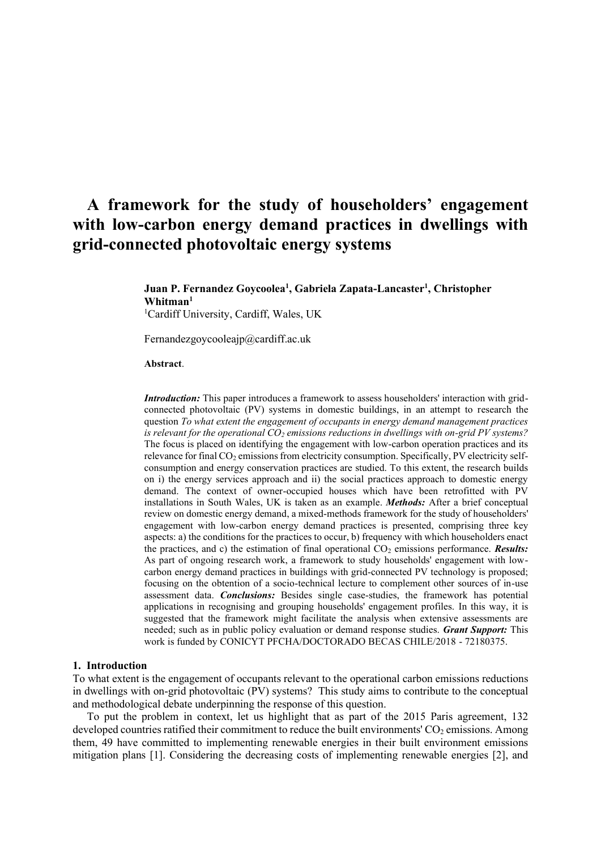# **A framework for the study of householders' engagement with low-carbon energy demand practices in dwellings with grid-connected photovoltaic energy systems**

**Juan P. Fernandez Goycoolea<sup>1</sup> , Gabriela Zapata-Lancaster<sup>1</sup> , Christopher Whitman<sup>1</sup>** <sup>1</sup>Cardiff University, Cardiff, Wales, UK

Fernandezgoycooleajp@cardiff.ac.uk

#### **Abstract**.

*Introduction:* This paper introduces a framework to assess householders' interaction with gridconnected photovoltaic (PV) systems in domestic buildings, in an attempt to research the question *To what extent the engagement of occupants in energy demand management practices is relevant for the operational CO<sup>2</sup> emissions reductions in dwellings with on-grid PV systems?* The focus is placed on identifying the engagement with low-carbon operation practices and its relevance for final  $CO<sub>2</sub>$  emissions from electricity consumption. Specifically, PV electricity selfconsumption and energy conservation practices are studied. To this extent, the research builds on i) the energy services approach and ii) the social practices approach to domestic energy demand. The context of owner-occupied houses which have been retrofitted with PV installations in South Wales, UK is taken as an example. *Methods:* After a brief conceptual review on domestic energy demand, a mixed-methods framework for the study of householders' engagement with low-carbon energy demand practices is presented, comprising three key aspects: a) the conditions for the practices to occur, b) frequency with which householders enact the practices, and c) the estimation of final operational  $CO<sub>2</sub>$  emissions performance. *Results:* As part of ongoing research work, a framework to study households' engagement with lowcarbon energy demand practices in buildings with grid-connected PV technology is proposed; focusing on the obtention of a socio-technical lecture to complement other sources of in-use assessment data. *Conclusions:* Besides single case-studies, the framework has potential applications in recognising and grouping households' engagement profiles. In this way, it is suggested that the framework might facilitate the analysis when extensive assessments are needed; such as in public policy evaluation or demand response studies. *Grant Support:* This work is funded by CONICYT PFCHA/DOCTORADO BECAS CHILE/2018 - 72180375.

#### **1. Introduction**

To what extent is the engagement of occupants relevant to the operational carbon emissions reductions in dwellings with on-grid photovoltaic (PV) systems? This study aims to contribute to the conceptual and methodological debate underpinning the response of this question.

To put the problem in context, let us highlight that as part of the 2015 Paris agreement, 132 developed countries ratified their commitment to reduce the built environments'  $CO<sub>2</sub>$  emissions. Among them, 49 have committed to implementing renewable energies in their built environment emissions mitigation plans [1]. Considering the decreasing costs of implementing renewable energies [2], and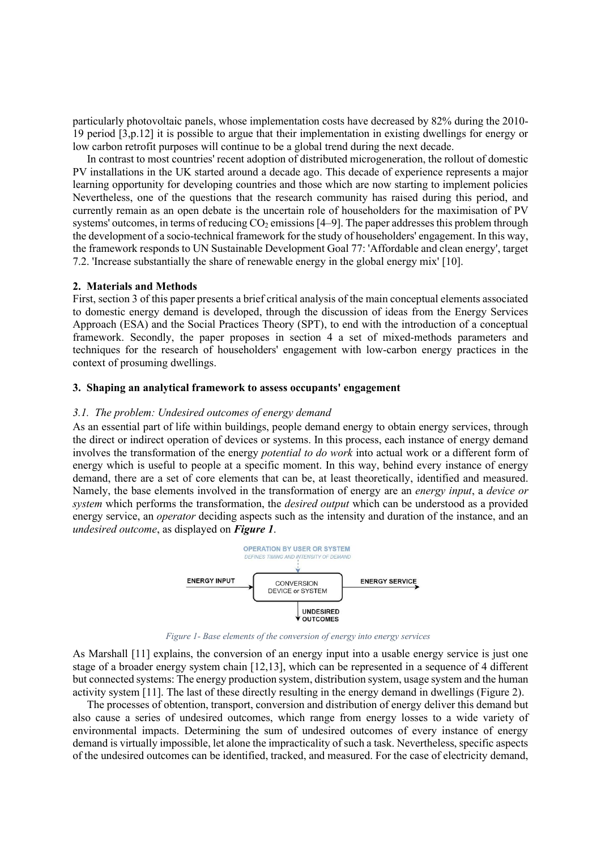particularly photovoltaic panels, whose implementation costs have decreased by 82% during the 2010- 19 period [3,p.12] it is possible to argue that their implementation in existing dwellings for energy or low carbon retrofit purposes will continue to be a global trend during the next decade.

In contrast to most countries' recent adoption of distributed microgeneration, the rollout of domestic PV installations in the UK started around a decade ago. This decade of experience represents a major learning opportunity for developing countries and those which are now starting to implement policies Nevertheless, one of the questions that the research community has raised during this period, and currently remain as an open debate is the uncertain role of householders for the maximisation of PV systems' outcomes, in terms of reducing  $CO<sub>2</sub>$  emissions [4–9]. The paper addresses this problem through the development of a socio-technical framework for the study of householders' engagement. In this way, the framework responds to UN Sustainable Development Goal 77: 'Affordable and clean energy', target 7.2. 'Increase substantially the share of renewable energy in the global energy mix' [10].

#### **2. Materials and Methods**

First, section 3 of this paper presents a brief critical analysis of the main conceptual elements associated to domestic energy demand is developed, through the discussion of ideas from the Energy Services Approach (ESA) and the Social Practices Theory (SPT), to end with the introduction of a conceptual framework. Secondly, the paper proposes in section 4 a set of mixed-methods parameters and techniques for the research of householders' engagement with low-carbon energy practices in the context of prosuming dwellings.

# **3. Shaping an analytical framework to assess occupants' engagement**

#### *3.1. The problem: Undesired outcomes of energy demand*

As an essential part of life within buildings, people demand energy to obtain energy services, through the direct or indirect operation of devices or systems. In this process, each instance of energy demand involves the transformation of the energy *potential to do work* into actual work or a different form of energy which is useful to people at a specific moment. In this way, behind every instance of energy demand, there are a set of core elements that can be, at least theoretically, identified and measured. Namely, the base elements involved in the transformation of energy are an *energy input*, a *device or system* which performs the transformation, the *desired output* which can be understood as a provided energy service, an *operator* deciding aspects such as the intensity and duration of the instance, and an *undesired outcome*, as displayed on *[Figure](#page-1-0) 1*.



<span id="page-1-0"></span>*Figure 1- Base elements of the conversion of energy into energy services*

As Marshall [11] explains, the conversion of an energy input into a usable energy service is just one stage of a broader energy system chain [12,13], which can be represented in a sequence of 4 different but connected systems: The energy production system, distribution system, usage system and the human activity system [11]. The last of these directly resulting in the energy demand in dwellings (Figure 2).

The processes of obtention, transport, conversion and distribution of energy deliver this demand but also cause a series of undesired outcomes, which range from energy losses to a wide variety of environmental impacts. Determining the sum of undesired outcomes of every instance of energy demand is virtually impossible, let alone the impracticality of such a task. Nevertheless, specific aspects of the undesired outcomes can be identified, tracked, and measured. For the case of electricity demand,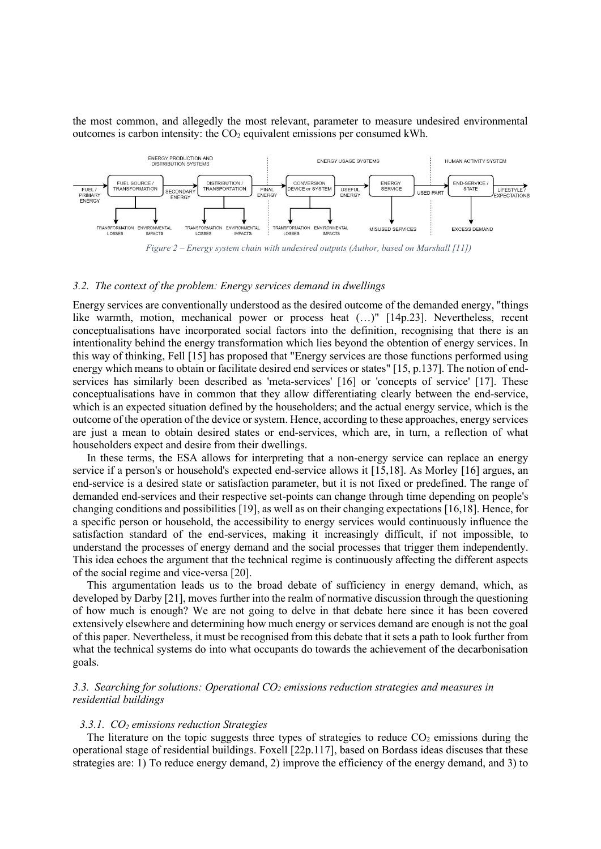the most common, and allegedly the most relevant, parameter to measure undesired environmental outcomes is carbon intensity: the  $CO<sub>2</sub>$  equivalent emissions per consumed kWh.



*Figure 2 – Energy system chain with undesired outputs (Author, based on Marshall [11])* 

## *3.2. The context of the problem: Energy services demand in dwellings*

Energy services are conventionally understood as the desired outcome of the demanded energy, "things like warmth, motion, mechanical power or process heat  $(...)$ " [14p.23]. Nevertheless, recent conceptualisations have incorporated social factors into the definition, recognising that there is an intentionality behind the energy transformation which lies beyond the obtention of energy services. In this way of thinking, Fell [15] has proposed that "Energy services are those functions performed using energy which means to obtain or facilitate desired end services or states" [15, p.137]. The notion of endservices has similarly been described as 'meta-services' [16] or 'concepts of service' [17]. These conceptualisations have in common that they allow differentiating clearly between the end-service, which is an expected situation defined by the householders; and the actual energy service, which is the outcome of the operation of the device or system. Hence, according to these approaches, energy services are just a mean to obtain desired states or end-services, which are, in turn, a reflection of what householders expect and desire from their dwellings.

In these terms, the ESA allows for interpreting that a non-energy service can replace an energy service if a person's or household's expected end-service allows it [15,18]. As Morley [16] argues, an end-service is a desired state or satisfaction parameter, but it is not fixed or predefined. The range of demanded end-services and their respective set-points can change through time depending on people's changing conditions and possibilities [19], as well as on their changing expectations [16,18]. Hence, for a specific person or household, the accessibility to energy services would continuously influence the satisfaction standard of the end-services, making it increasingly difficult, if not impossible, to understand the processes of energy demand and the social processes that trigger them independently. This idea echoes the argument that the technical regime is continuously affecting the different aspects of the social regime and vice-versa [20].

This argumentation leads us to the broad debate of sufficiency in energy demand, which, as developed by Darby [21], moves further into the realm of normative discussion through the questioning of how much is enough? We are not going to delve in that debate here since it has been covered extensively elsewhere and determining how much energy or services demand are enough is not the goal of this paper. Nevertheless, it must be recognised from this debate that it sets a path to look further from what the technical systems do into what occupants do towards the achievement of the decarbonisation goals.

# *3.3. Searching for solutions: Operational CO<sup>2</sup> emissions reduction strategies and measures in residential buildings*

### *3.3.1. CO<sup>2</sup> emissions reduction Strategies*

The literature on the topic suggests three types of strategies to reduce  $CO<sub>2</sub>$  emissions during the operational stage of residential buildings. Foxell [22p.117], based on Bordass ideas discuses that these strategies are: 1) To reduce energy demand, 2) improve the efficiency of the energy demand, and 3) to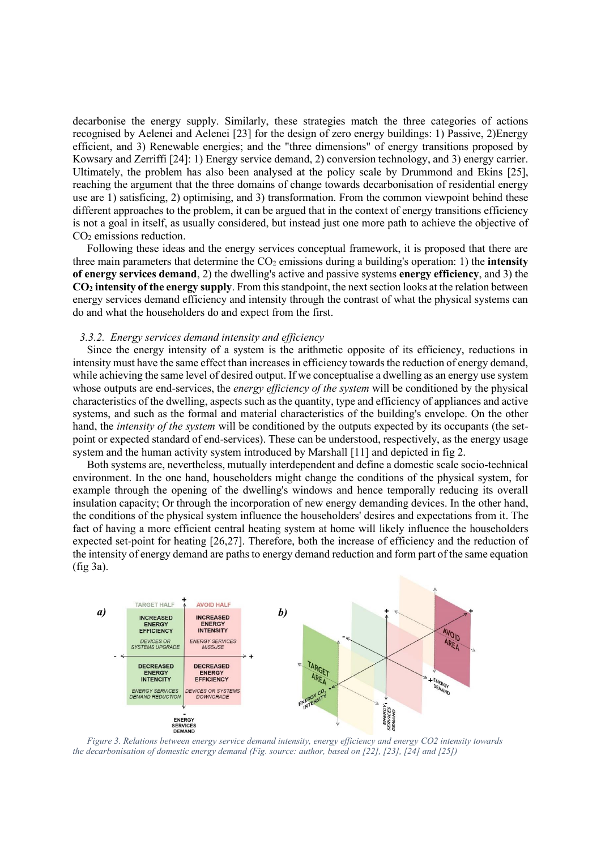decarbonise the energy supply. Similarly, these strategies match the three categories of actions recognised by Aelenei and Aelenei [23] for the design of zero energy buildings: 1) Passive, 2)Energy efficient, and 3) Renewable energies; and the "three dimensions" of energy transitions proposed by Kowsary and Zerriffi [24]: 1) Energy service demand, 2) conversion technology, and 3) energy carrier. Ultimately, the problem has also been analysed at the policy scale by Drummond and Ekins [25], reaching the argument that the three domains of change towards decarbonisation of residential energy use are 1) satisficing, 2) optimising, and 3) transformation. From the common viewpoint behind these different approaches to the problem, it can be argued that in the context of energy transitions efficiency is not a goal in itself, as usually considered, but instead just one more path to achieve the objective of CO<sub>2</sub> emissions reduction.

Following these ideas and the energy services conceptual framework, it is proposed that there are three main parameters that determine the  $CO<sub>2</sub>$  emissions during a building's operation: 1) the **intensity of energy services demand**, 2) the dwelling's active and passive systems **energy efficiency**, and 3) the **CO<sup>2</sup> intensity of the energy supply**. From this standpoint, the next section looks at the relation between energy services demand efficiency and intensity through the contrast of what the physical systems can do and what the householders do and expect from the first.

## *3.3.2. Energy services demand intensity and efficiency*

Since the energy intensity of a system is the arithmetic opposite of its efficiency, reductions in intensity must have the same effect than increases in efficiency towards the reduction of energy demand, while achieving the same level of desired output. If we conceptualise a dwelling as an energy use system whose outputs are end-services, the *energy efficiency of the system* will be conditioned by the physical characteristics of the dwelling, aspects such as the quantity, type and efficiency of appliances and active systems, and such as the formal and material characteristics of the building's envelope. On the other hand, the *intensity of the system* will be conditioned by the outputs expected by its occupants (the setpoint or expected standard of end-services). These can be understood, respectively, as the energy usage system and the human activity system introduced by Marshall [11] and depicted in fig 2.

Both systems are, nevertheless, mutually interdependent and define a domestic scale socio-technical environment. In the one hand, householders might change the conditions of the physical system, for example through the opening of the dwelling's windows and hence temporally reducing its overall insulation capacity; Or through the incorporation of new energy demanding devices. In the other hand, the conditions of the physical system influence the householders' desires and expectations from it. The fact of having a more efficient central heating system at home will likely influence the householders expected set-point for heating [26,27]. Therefore, both the increase of efficiency and the reduction of the intensity of energy demand are paths to energy demand reduction and form part of the same equation (fig 3a).



*Figure 3. Relations between energy service demand intensity, energy efficiency and energy CO2 intensity towards the decarbonisation of domestic energy demand (Fig. source: author, based on [22], [23], [24] and [25])*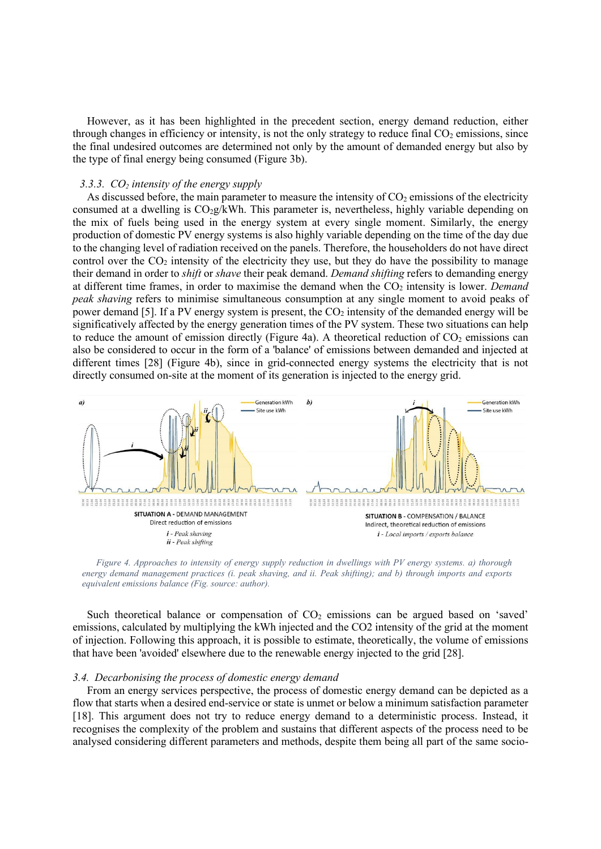However, as it has been highlighted in the precedent section, energy demand reduction, either through changes in efficiency or intensity, is not the only strategy to reduce final  $CO<sub>2</sub>$  emissions, since the final undesired outcomes are determined not only by the amount of demanded energy but also by the type of final energy being consumed (Figure 3b).

#### *3.3.3. CO<sup>2</sup> intensity of the energy supply*

As discussed before, the main parameter to measure the intensity of  $CO<sub>2</sub>$  emissions of the electricity consumed at a dwelling is  $CO<sub>2</sub>g/kWh$ . This parameter is, nevertheless, highly variable depending on the mix of fuels being used in the energy system at every single moment. Similarly, the energy production of domestic PV energy systems is also highly variable depending on the time of the day due to the changing level of radiation received on the panels. Therefore, the householders do not have direct control over the  $CO<sub>2</sub>$  intensity of the electricity they use, but they do have the possibility to manage their demand in order to *shift* or *shave* their peak demand. *Demand shifting* refers to demanding energy at different time frames, in order to maximise the demand when the  $CO<sub>2</sub>$  intensity is lower. *Demand peak shaving* refers to minimise simultaneous consumption at any single moment to avoid peaks of power demand [5]. If a PV energy system is present, the  $CO<sub>2</sub>$  intensity of the demanded energy will be significatively affected by the energy generation times of the PV system. These two situations can help to reduce the amount of emission directly (Figure 4a). A theoretical reduction of  $CO<sub>2</sub>$  emissions can also be considered to occur in the form of a 'balance' of emissions between demanded and injected at different times [28] (Figure 4b), since in grid-connected energy systems the electricity that is not directly consumed on-site at the moment of its generation is injected to the energy grid.



*Figure 4. Approaches to intensity of energy supply reduction in dwellings with PV energy systems. a) thorough energy demand management practices (i. peak shaving, and ii. Peak shifting); and b) through imports and exports equivalent emissions balance (Fig. source: author).*

Such theoretical balance or compensation of  $CO<sub>2</sub>$  emissions can be argued based on 'saved' emissions, calculated by multiplying the kWh injected and the CO2 intensity of the grid at the moment of injection. Following this approach, it is possible to estimate, theoretically, the volume of emissions that have been 'avoided' elsewhere due to the renewable energy injected to the grid [28].

#### *3.4. Decarbonising the process of domestic energy demand*

From an energy services perspective, the process of domestic energy demand can be depicted as a flow that starts when a desired end-service or state is unmet or below a minimum satisfaction parameter [18]. This argument does not try to reduce energy demand to a deterministic process. Instead, it recognises the complexity of the problem and sustains that different aspects of the process need to be analysed considering different parameters and methods, despite them being all part of the same socio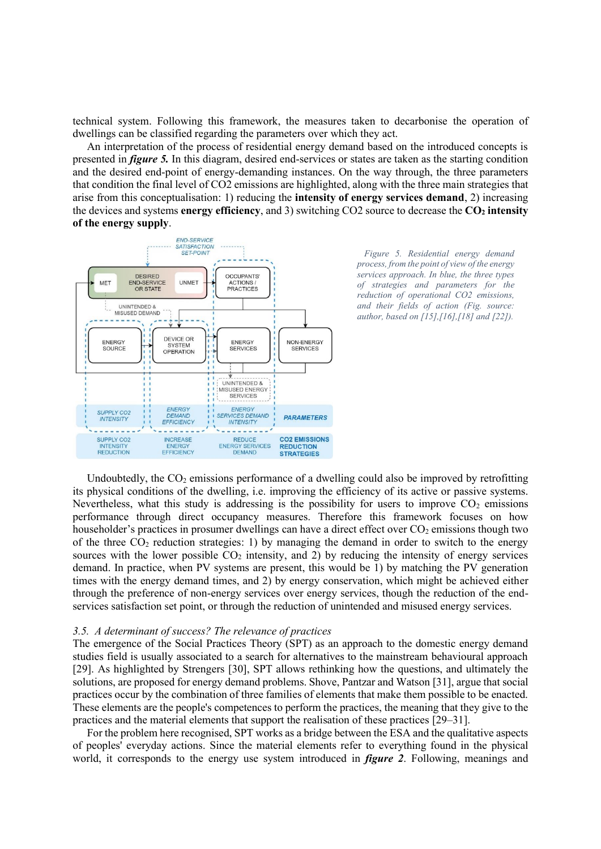technical system. Following this framework, the measures taken to decarbonise the operation of dwellings can be classified regarding the parameters over which they act.

An interpretation of the process of residential energy demand based on the introduced concepts is presented in *figure 5.* In this diagram, desired end-services or states are taken as the starting condition and the desired end-point of energy-demanding instances. On the way through, the three parameters that condition the final level of CO2 emissions are highlighted, along with the three main strategies that arise from this conceptualisation: 1) reducing the **intensity of energy services demand**, 2) increasing the devices and systems **energy efficiency**, and 3) switching CO2 source to decrease the **CO<sup>2</sup> intensity of the energy supply**.



*Figure 5. Residential energy demand process, from the point of view of the energy services approach. In blue, the three types of strategies and parameters for the reduction of operational CO2 emissions, and their fields of action (Fig. source: author, based on [15],[16],[18] and [22]).*

Undoubtedly, the  $CO<sub>2</sub>$  emissions performance of a dwelling could also be improved by retrofitting its physical conditions of the dwelling, i.e. improving the efficiency of its active or passive systems. Nevertheless, what this study is addressing is the possibility for users to improve  $CO<sub>2</sub>$  emissions performance through direct occupancy measures. Therefore this framework focuses on how householder's practices in prosumer dwellings can have a direct effect over  $CO<sub>2</sub>$  emissions though two of the three  $CO<sub>2</sub>$  reduction strategies: 1) by managing the demand in order to switch to the energy sources with the lower possible  $CO<sub>2</sub>$  intensity, and 2) by reducing the intensity of energy services demand. In practice, when PV systems are present, this would be 1) by matching the PV generation times with the energy demand times, and 2) by energy conservation, which might be achieved either through the preference of non-energy services over energy services, though the reduction of the endservices satisfaction set point, or through the reduction of unintended and misused energy services.

#### *3.5. A determinant of success? The relevance of practices*

The emergence of the Social Practices Theory (SPT) as an approach to the domestic energy demand studies field is usually associated to a search for alternatives to the mainstream behavioural approach [29]. As highlighted by Strengers [30], SPT allows rethinking how the questions, and ultimately the solutions, are proposed for energy demand problems. Shove, Pantzar and Watson [31], argue that social practices occur by the combination of three families of elements that make them possible to be enacted. These elements are the people's competences to perform the practices, the meaning that they give to the practices and the material elements that support the realisation of these practices [29–31].

For the problem here recognised, SPT works as a bridge between the ESA and the qualitative aspects of peoples' everyday actions. Since the material elements refer to everything found in the physical world, it corresponds to the energy use system introduced in *figure 2*. Following, meanings and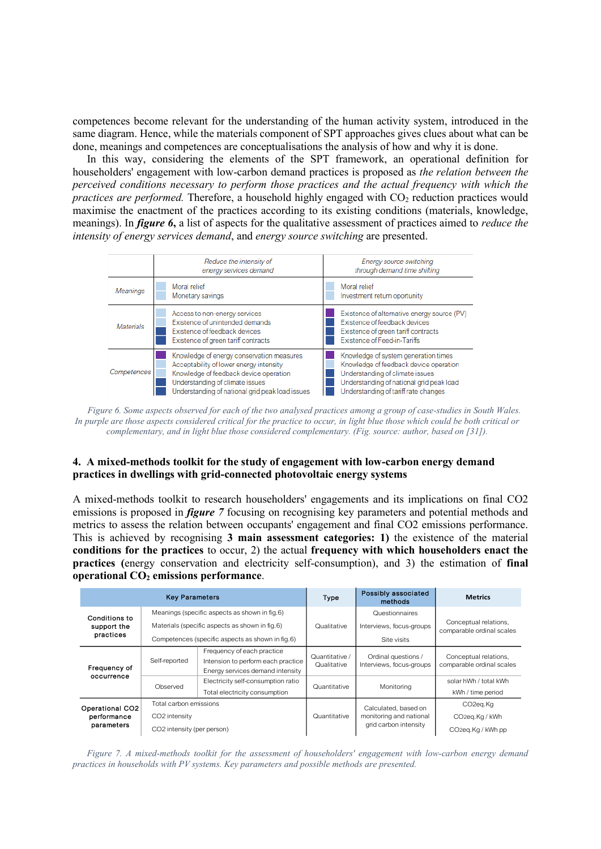competences become relevant for the understanding of the human activity system, introduced in the same diagram. Hence, while the materials component of SPT approaches gives clues about what can be done, meanings and competences are conceptualisations the analysis of how and why it is done.

In this way, considering the elements of the SPT framework, an operational definition for householders' engagement with low-carbon demand practices is proposed as *the relation between the perceived conditions necessary to perform those practices and the actual frequency with which the practices are performed.* Therefore, a household highly engaged with  $CO<sub>2</sub>$  reduction practices would maximise the enactment of the practices according to its existing conditions (materials, knowledge, meanings). In *figure 6***,** a list of aspects for the qualitative assessment of practices aimed to *reduce the intensity of energy services demand*, and *energy source switching* are presented.



*Figure 6. Some aspects observed for each of the two analysed practices among a group of case-studies in South Wales. In purple are those aspects considered critical for the practice to occur, in light blue those which could be both critical or complementary, and in light blue those considered complementary. (Fig. source: author, based on [31]).*

# **4. A mixed-methods toolkit for the study of engagement with low-carbon energy demand practices in dwellings with grid-connected photovoltaic energy systems**

A mixed-methods toolkit to research householders' engagements and its implications on final CO2 emissions is proposed in *figure 7* focusing on recognising key parameters and potential methods and metrics to assess the relation between occupants' engagement and final CO2 emissions performance. This is achieved by recognising **3 main assessment categories: 1)** the existence of the material **conditions for the practices** to occur, 2) the actual **frequency with which householders enact the practices (**energy conservation and electricity self-consumption), and 3) the estimation of **final operational CO<sup>2</sup> emissions performance**.

| <b>Key Parameters</b>                               |                                                  |                                                                                                      | Type                          | Possibly associated<br>methods                                           | <b>Metrics</b>                                     |
|-----------------------------------------------------|--------------------------------------------------|------------------------------------------------------------------------------------------------------|-------------------------------|--------------------------------------------------------------------------|----------------------------------------------------|
| <b>Conditions to</b><br>support the<br>practices    | Meanings (specific aspects as shown in fig.6)    |                                                                                                      | Qualitative                   | Questionnaires                                                           | Conceptual relations,<br>comparable ordinal scales |
|                                                     | Materials (specific aspects as shown in fig.6)   |                                                                                                      |                               | Interviews, focus-groups                                                 |                                                    |
|                                                     | Competences (specific aspects as shown in fig.6) |                                                                                                      |                               | Site visits                                                              |                                                    |
| Frequency of<br>occurrence                          | Self-reported                                    | Frequency of each practice<br>Intension to perform each practice<br>Energy services demand intensity | Quantitative /<br>Qualitative | Ordinal questions /<br>Interviews, focus-groups                          | Conceptual relations,<br>comparable ordinal scales |
|                                                     | Observed                                         | Electricity self-consumption ratio<br>Total electricity consumption                                  | Quantitative                  | Monitoring                                                               | solar hWh / total kWh<br>kWh / time period         |
| <b>Operational CO2</b><br>performance<br>parameters | Total carbon emissions                           |                                                                                                      | Quantitative                  | Calculated, based on<br>monitoring and national<br>grid carbon intensity | CO <sub>2</sub> eg.Kg                              |
|                                                     | CO2 intensity                                    |                                                                                                      |                               |                                                                          | CO <sub>2</sub> eq.Kg / kWh                        |
|                                                     | CO2 intensity (per person)                       |                                                                                                      |                               |                                                                          | CO <sub>2</sub> eq.Kg / kWh pp                     |

*Figure 7. A mixed-methods toolkit for the assessment of householders' engagement with low-carbon energy demand practices in households with PV systems. Key parameters and possible methods are presented.*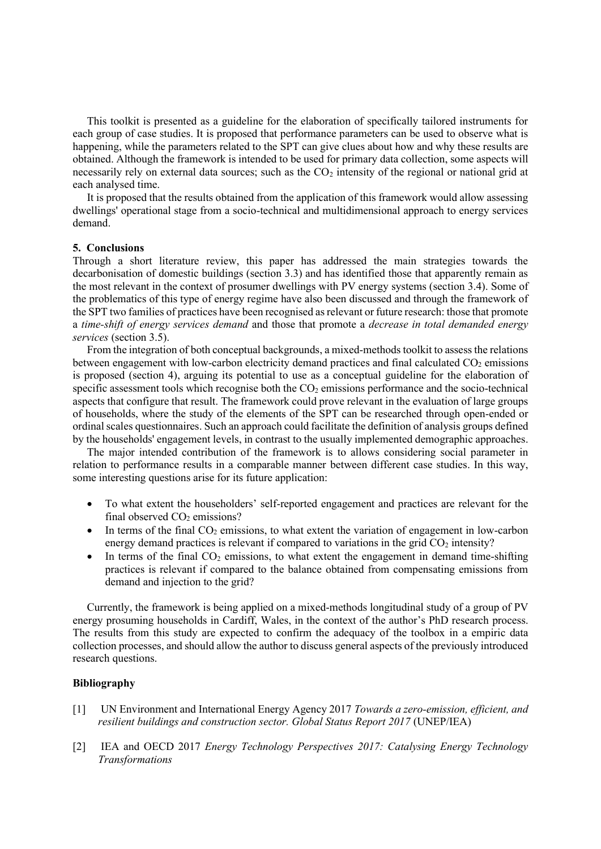This toolkit is presented as a guideline for the elaboration of specifically tailored instruments for each group of case studies. It is proposed that performance parameters can be used to observe what is happening, while the parameters related to the SPT can give clues about how and why these results are obtained. Although the framework is intended to be used for primary data collection, some aspects will necessarily rely on external data sources; such as the  $CO<sub>2</sub>$  intensity of the regional or national grid at each analysed time.

It is proposed that the results obtained from the application of this framework would allow assessing dwellings' operational stage from a socio-technical and multidimensional approach to energy services demand.

# **5. Conclusions**

Through a short literature review, this paper has addressed the main strategies towards the decarbonisation of domestic buildings (section 3.3) and has identified those that apparently remain as the most relevant in the context of prosumer dwellings with PV energy systems (section 3.4). Some of the problematics of this type of energy regime have also been discussed and through the framework of the SPT two families of practices have been recognised as relevant or future research: those that promote a *time-shift of energy services demand* and those that promote a *decrease in total demanded energy services* (section 3.5).

From the integration of both conceptual backgrounds, a mixed-methods toolkit to assess the relations between engagement with low-carbon electricity demand practices and final calculated  $CO<sub>2</sub>$  emissions is proposed (section 4), arguing its potential to use as a conceptual guideline for the elaboration of specific assessment tools which recognise both the  $CO<sub>2</sub>$  emissions performance and the socio-technical aspects that configure that result. The framework could prove relevant in the evaluation of large groups of households, where the study of the elements of the SPT can be researched through open-ended or ordinal scales questionnaires. Such an approach could facilitate the definition of analysis groups defined by the households' engagement levels, in contrast to the usually implemented demographic approaches.

The major intended contribution of the framework is to allows considering social parameter in relation to performance results in a comparable manner between different case studies. In this way, some interesting questions arise for its future application:

- To what extent the householders' self-reported engagement and practices are relevant for the final observed  $CO<sub>2</sub>$  emissions?
- In terms of the final  $CO_2$  emissions, to what extent the variation of engagement in low-carbon energy demand practices is relevant if compared to variations in the grid  $CO<sub>2</sub>$  intensity?
- In terms of the final  $CO<sub>2</sub>$  emissions, to what extent the engagement in demand time-shifting practices is relevant if compared to the balance obtained from compensating emissions from demand and injection to the grid?

Currently, the framework is being applied on a mixed-methods longitudinal study of a group of PV energy prosuming households in Cardiff, Wales, in the context of the author's PhD research process. The results from this study are expected to confirm the adequacy of the toolbox in a empiric data collection processes, and should allow the author to discuss general aspects of the previously introduced research questions.

## **Bibliography**

- [1] UN Environment and International Energy Agency 2017 *Towards a zero-emission, efficient, and resilient buildings and construction sector. Global Status Report 2017* (UNEP/IEA)
- [2] IEA and OECD 2017 *Energy Technology Perspectives 2017: Catalysing Energy Technology Transformations*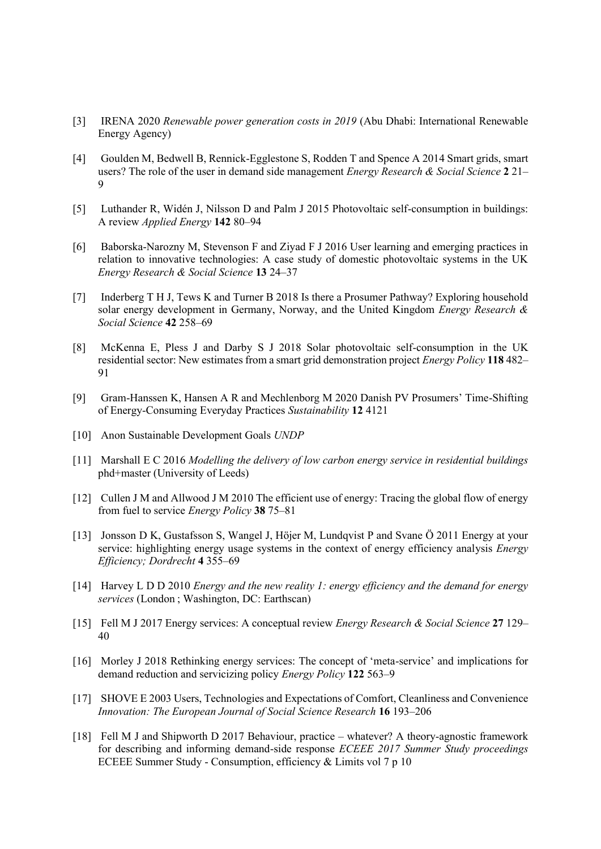- [3] IRENA 2020 *Renewable power generation costs in 2019* (Abu Dhabi: International Renewable Energy Agency)
- [4] Goulden M, Bedwell B, Rennick-Egglestone S, Rodden T and Spence A 2014 Smart grids, smart users? The role of the user in demand side management *Energy Research & Social Science* **2** 21– 9
- [5] Luthander R, Widén J, Nilsson D and Palm J 2015 Photovoltaic self-consumption in buildings: A review *Applied Energy* **142** 80–94
- [6] Baborska-Narozny M, Stevenson F and Ziyad F J 2016 User learning and emerging practices in relation to innovative technologies: A case study of domestic photovoltaic systems in the UK *Energy Research & Social Science* **13** 24–37
- [7] Inderberg T H J, Tews K and Turner B 2018 Is there a Prosumer Pathway? Exploring household solar energy development in Germany, Norway, and the United Kingdom *Energy Research & Social Science* **42** 258–69
- [8] McKenna E, Pless J and Darby S J 2018 Solar photovoltaic self-consumption in the UK residential sector: New estimates from a smart grid demonstration project *Energy Policy* **118** 482– 91
- [9] Gram-Hanssen K, Hansen A R and Mechlenborg M 2020 Danish PV Prosumers' Time-Shifting of Energy-Consuming Everyday Practices *Sustainability* **12** 4121
- [10] Anon Sustainable Development Goals *UNDP*
- [11] Marshall E C 2016 *Modelling the delivery of low carbon energy service in residential buildings* phd+master (University of Leeds)
- [12] Cullen J M and Allwood J M 2010 The efficient use of energy: Tracing the global flow of energy from fuel to service *Energy Policy* **38** 75–81
- [13] Jonsson D K, Gustafsson S, Wangel J, Höjer M, Lundqvist P and Svane Ö 2011 Energy at your service: highlighting energy usage systems in the context of energy efficiency analysis *Energy Efficiency; Dordrecht* **4** 355–69
- [14] Harvey L D D 2010 *Energy and the new reality 1: energy efficiency and the demand for energy services* (London ; Washington, DC: Earthscan)
- [15] Fell M J 2017 Energy services: A conceptual review *Energy Research & Social Science* **27** 129– 40
- [16] Morley J 2018 Rethinking energy services: The concept of 'meta-service' and implications for demand reduction and servicizing policy *Energy Policy* **122** 563–9
- [17] SHOVE E 2003 Users, Technologies and Expectations of Comfort, Cleanliness and Convenience *Innovation: The European Journal of Social Science Research* **16** 193–206
- [18] Fell M J and Shipworth D 2017 Behaviour, practice whatever? A theory-agnostic framework for describing and informing demand-side response *ECEEE 2017 Summer Study proceedings* ECEEE Summer Study - Consumption, efficiency & Limits vol 7 p 10